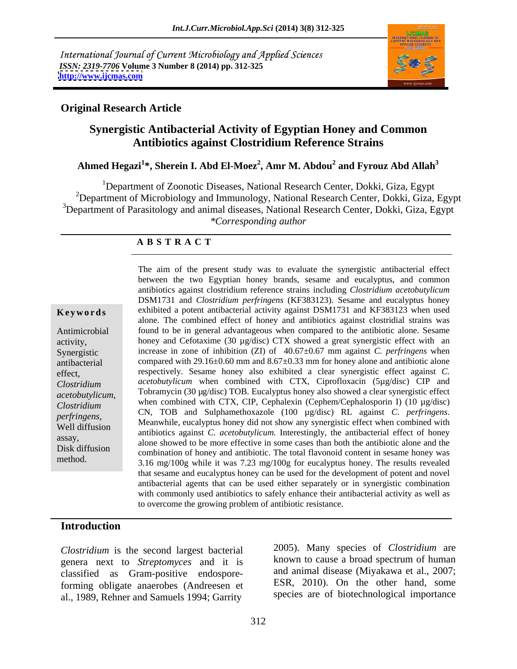International Journal of Current Microbiology and Applied Sciences *ISSN: 2319-7706* **Volume 3 Number 8 (2014) pp. 312-325 <http://www.ijcmas.com>**



#### **Original Research Article**

## **Synergistic Antibacterial Activity of Egyptian Honey and Common Antibiotics against Clostridium Reference Strains**

#### **Ahmed Hegazi<sup>1</sup> \*, Sherein I. Abd El-Moez<sup>2</sup> , Amr M. Abdou<sup>2</sup> and Fyrouz Abd Allah<sup>3</sup>**

<sup>1</sup>Department of Zoonotic Diseases, National Research Center, Dokki, Giza, Egypt <sup>2</sup>Department of Microbiology and Immunology, National Research Center, Dokki, Giza, Egypt  $3$ Department of Parasitology and animal diseases, National Research Center, Dokki, Giza, Egypt *\*Corresponding author* 

#### **A B S T R A C T**

*acetobutylicum*,

**Keywords** exhibited a potent antibacterial activity against DSM1731 and KF383123 when used Antimicrobial found to be in general advantageous when compared to the antibiotic alone. Sesame activity, honey and Cefotaxime (30 µg/disc) CTX showed a great synergistic effect with an Synergistic increase in zone of inhibition (ZI) of 40.67±0.67 mm against *C. perfringens* when antibacterial compared with 29.16±0.60 mm and 8.67±0.33 mm for honey alone and antibiotic alone effect, respectively. Sesame honey also exhibited a clear synergistic effect against *C*. *Clostridium acetobutylicum* when combined with CTX, Ciprofloxacin (5µg/disc) CIP and *Clostridium* when combined with CTX, CIP, Cephalexin (Cephem/Cephalosporin I) (10 µg/disc) *perfringens*, CN, TOB and Sulphamethoxazole (100 µg/disc) RL against *C. perfringens.*<br>Well diffusion Meanwhile, eucalyptus honey did not show any synergistic effect when combined with<br>well diffusion antibiotics operator assay,<br>alone showed to be more effective in some cases than both the antibiotic alone and the Disk diffusion<br>
combination of honey and antibiotic. The total flavonoid content in sesame honey was method. 3.16 mg/100g while it was 7.23 mg/100g for eucalyptus honey. The results revealed The aim of the present study was to evaluate the synergistic antibacterial effect between the two Egyptian honey brands, sesame and eucalyptus, and common antibiotics against clostridium reference strains including *Clostridium acetobutylicum* DSM1731 and *Clostridium perfringens* (KF383123). Sesame and eucalyptus honey alone. The combined effect of honey and antibiotics against clostridial strains was Tobramycin (30 µg/disc) TOB. Eucalyptus honey also showed a clear synergistic effect antibiotics against *C. acetobutylicum.* Interestingly, the antibacterial effect of honey that sesame and eucalyptus honey can be used for the development of potent and novel antibacterial agents that can be used either separately or in synergistic combination with commonly used antibiotics to safely enhance their antibacterial activity as well as to overcome the growing problem of antibiotic resistance.

#### **Introduction**

*Clostridium* is the second largest bacterial genera next to *Streptomyces* and it is classified as Gram-positive endosporeforming obligate anaerobes (Andreesen et al., 1989, Rehner and Samuels 1994; Garrity

2005). Many species of *Clostridium* are known to cause a broad spectrum of human and animal disease (Miyakawa et al., 2007; ESR, 2010). On the other hand, some species are of biotechnological importance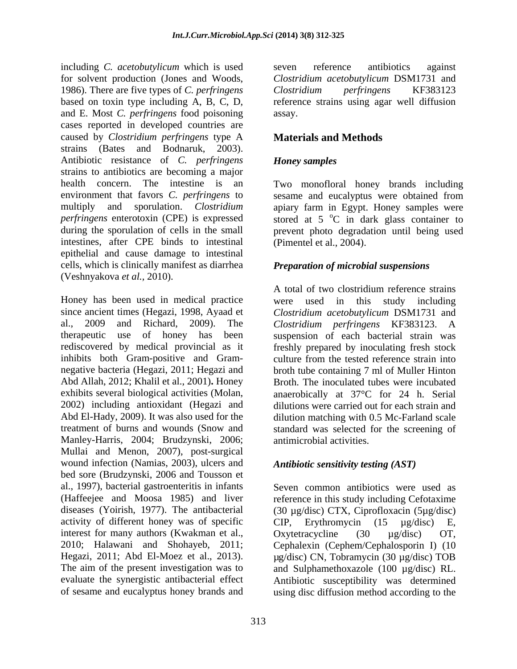including *C. acetobutylicum* which is used for solvent production (Jones and Woods, *Clostridium acetobutylicum* DSM1731 and 1986). There are five types of *C. perfringens* based on toxin type including A, B, C, D, reference strains using agar well diffusion and E. Most *C. perfringens* food poisoning cases reported in developed countries are caused by *Clostridium perfringens* type A strains (Bates and Bodnaruk, 2003). Antibiotic resistance of *C. perfringens* strains to antibiotics are becoming a major intestines, after CPE binds to intestinal epithelial and cause damage to intestinal cells, which is clinically manifest as diarrhea (Veshnyakova *et al.,* 2010).

Honey has been used in medical practice were used in this study including since ancient times (Hegazi, 1998, Ayaad et *Clostridium acetobutylicum* DSM1731 and al., 2009 and Richard, 2009). The *Clostridium perfringens* KF383123. A therapeutic use of honey has been suspension of each bacterial strain was rediscovered by medical provincial as it inhibits both Gram-positive and Gram- culture from the tested reference strain into negative bacteria (Hegazi, 2011; Hegazi and broth tube containing 7 ml of Muller Hinton Abd Allah, 2012; Khalil et al., 2001)**.** Honey Broth. The inoculated tubes were incubated exhibits several biological activities (Molan, anaerobically at 37°C for 24 h. Serial 2002) including antioxidant (Hegazi and Abd El-Hady, 2009). It was also used for the treatment of burns and wounds (Snow and treatment of burns and wounds (Snow and standard was selected for the screening of Manley-Harris, 2004; Brudzynski, 2006; Mullai and Menon, 2007), post-surgical wound infection (Namias, 2003), ulcers and bed sore (Brudzynski, 2006 and Tousson et al., 1997), bacterial gastroenteritis in infants Seven common antibiotics were used as (Haffeejee and Moosa 1985) and liver reference in this study including Cefotaxime diseases (Yoirish, 1977). The antibacterial (30 µg/disc) CTX, Ciprofloxacin (5µg/disc) activity of different honey was of specific CIP, Erythromycin (15 µg/disc) E, interest for many authors (Kwakman et al.,<br>
2010; Halawani and Shohayeb, 2011; Cephalexin (Cephem/Cephalosporin I) (10 Hegazi, 2011; Abd El-Moez et al., 2013).  $\mu$ g/disc) CN, Tobramycin (30  $\mu$ g/disc) TOB<br>The aim of the present investigation was to and Sulphamethoxazole (100  $\mu$ g/disc) RL. evaluate the synergistic antibacterial effect Antibiotic susceptibility was determined

seven reference antibiotics against *Clostridium perfringens* KF383123 assay.

### **Materials and Methods**

### *Honey samples*

health concern. The intestine is an Two monofloral honey brands including environment that favors *C. perfringens* to sesame and eucalyptus were obtained from multiply and sporulation. *Clostridium*  apiary farm in Egypt. Honey samples were *perfringens* enterotoxin (CPE) is expressed stored at 5 °C in dark glass container to during the sporulation of cells in the small prevent photo degradation until being used  $\rm{^{\circ}C}$  in dark glass container to (Pimentel et al., 2004).

### *Preparation of microbial suspensions*

A total of two clostridium reference strains freshly prepared by inoculating fresh stock dilutions were carried out for each strain and dilution matching with 0.5 Mc-Farland scale antimicrobial activities.

### *Antibiotic sensitivity testing (AST)*

Cephalexin (Cephem/Cephalosporin I) (10 of sesame and eucalyptus honey brands and using disc diffusion method according to theCIP, Erythromycin (15 µg/disc) E, Oxytetracycline (30 µg/disc) OT, Cephalexin (Cephem/Cephalosporin I) (10 µg/disc) CN, Tobramycin (30 µg/disc) TOB and Sulphamethoxazole (100 µg/disc) RL.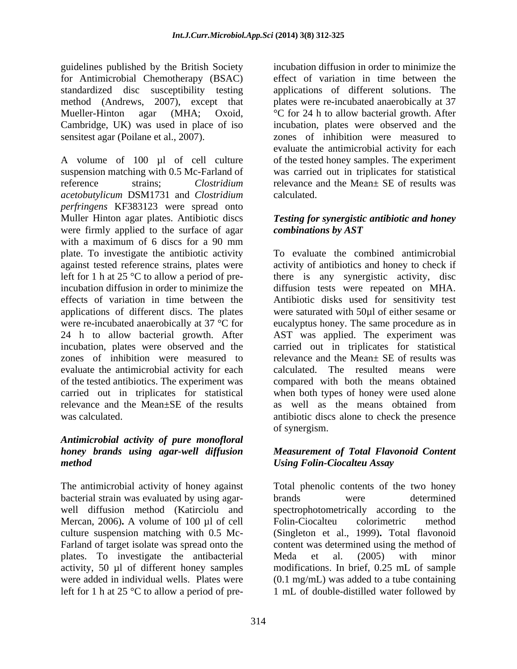guidelines published by the British Society for Antimicrobial Chemotherapy (BSAC) standardized disc susceptibility testing method (Andrews, 2007), except that plates were re-incubated anaerobically at 37 Mueller-Hinton agar (MHA; Oxoid, <sup>o</sup>C for 24 h to allow bacterial growth. After Cambridge, UK) was used in place of iso sensitest agar (Poilane et al., 2007). zones of inhibition were measured to

A volume of 100 µl of cell culture of the tested honey samples. The experiment suspension matching with 0.5 Mc-Farland of was carried out in triplicates for statistical reference strains; *Clostridium* relevance and the Mean $\pm$  SE of results was *acetobutylicum* DSM1731 and *Clostridium perfringens* KF383123 were spread onto Muller Hinton agar plates. Antibiotic discs *Testing for synergistic antibiotic and honey* were firmly applied to the surface of agar combinations by AST with a maximum of 6 discs for a 90 mm plate. To investigate the antibiotic activity against tested reference strains, plates were activity of antibiotics and honey to check if left for 1 h at 25 °C to allow a period of preincubation diffusion in order to minimize the diffusion tests were repeated on MHA. effects of variation in time between the Antibiotic disks used for sensitivity test applications of different discs. The plates were saturated with 50µl of either sesame or were re-incubated anaerobically at 37 °C for eucalyptus honey. The same procedure as in 24 h to allow bacterial growth. After AST was applied. The experiment was incubation, plates were observed and the zones of inhibition were measured to relevance and the Mean± SE of results was evaluate the antimicrobial activity for each of the tested antibiotics. The experiment was compared with both the means obtained carried out in triplicates for statistical when both types of honey were used alone relevance and the Mean±SE of the results as well as the means obtained from

### *Antimicrobial activity of pure monofloral honey brands using agar-well diffusion Measurement of Total Flavonoid Content method Using Folin-Ciocalteu Assay*

bacterial strain was evaluated by using agar-<br>brands were determined well diffusion method (Katirciolu and spectrophotomet Mercan. 2006). A volume of 100 ul of cell Folin-Ciocalteu Mercan, 2006). A volume of 100 µl of cell Folin-Ciocalteu colorimetric method plates. To investigate the antibacterial

incubation diffusion in order to minimize the effect of variation in time between the applications of different solutions.The incubation, plates were observed and the evaluate the antimicrobial activity for each relevance and the Mean± SE of results was calculated.

# *combinations by AST*

was calculated. antibiotic discs alone to check the presence To evaluate the combined antimicrobial there is any synergistic activity, disc carried out in triplicates for statistical calculated. The resulted means were of synergism.

The antimicrobial activity of honey against Total phenolic contents of the two honey culture suspension matching with 0.5 Mc- (Singleton et al., 1999)**.** Total flavonoid Farland of target isolate was spread onto the content was determined using the method of activity, 50 µl of different honey samples modifications. In brief, 0.25 mL of sample were added in individual wells. Plates were (0.1 mg/mL) was added to a tube containing left for 1 h at 25 °C to allow a period of pre-1 mL of double-distilled water followed bybrands were determined spectrophotometrically according to the Folin-Ciocalteu colorimetric method Meda et al. (2005) with minor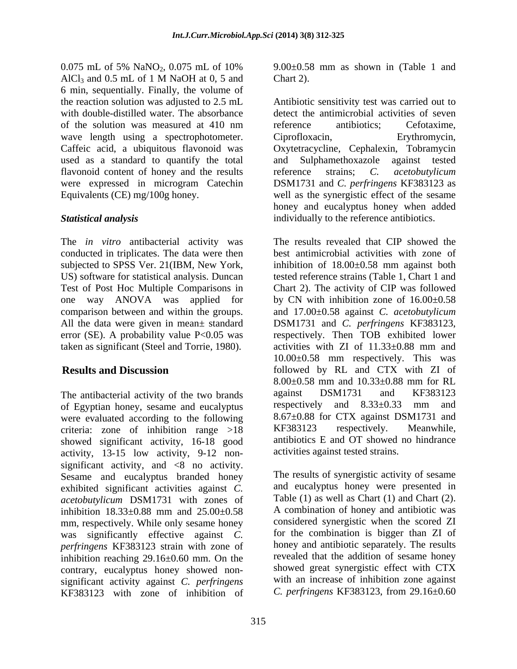0.075 mL of 5% NaNO<sub>2</sub>, 0.075 mL of 10% 9.00 $\pm$ 0.58 mm as shown in (Table 1 and  $\text{AlCl}_3$  and 0.5 mL of 1 M NaOH at 0, 5 and Chart 2). 6 min, sequentially. Finally, the volume of wave length using a spectrophotometer. Ciprofloxacin, Erythromycin, used as a standard to quantify the total and Sulphamethoxazole against tested flavonoid content of honey and the results reference strains; C. acetobutylicum

The *in vitro* antibacterial activity was conducted in triplicates. The data were then subjected to SPSS Ver. 21(IBM, New York, one way ANOVA was applied for All the data were given in mean± standard

The antibacterial activity of the two brands<br>of Equation bones are example and eucalyptus<br>respectively and  $8.33\pm0.33$  mm and of Egyptian honey, sesame and eucalyptus were evaluated according to the following  $8.67\pm0.88$  for CTX against DSM1731 and criteria: zone of inhibition range >18 KF383123 respectively. Meanwhile, criteria: zone of inhibition range >18 showed significant activity, 16-18 good activity, 13-15 low activity, 9-12 non significant activity, and  $\langle 8 \rangle$  no activity. Sesame and eucalyptus branded honey exhibited significant activities against *C. acetobutylicum* DSM1731 with zones of inhibition 18.33±0.88 mm and 25.00±0.58 mm, respectively. While only sesame honey was significantly effective against *C. perfringens* KF383123 strain with zone of inhibition reaching 29.16±0.60 mm. On the contrary, eucalyptus honey showed non significant activity against *C. perfringens* KF383123 with zone of inhibition of

9.00±0.58 mm as shown in (Table 1 and Chart 2).

the reaction solution was adjusted to 2.5 mL Antibiotic sensitivity test was carried out to with double-distilled water. The absorbance detect the antimicrobial activities of seven of the solution was measured at 410 nm Caffeic acid, a ubiquitous flavonoid was Oxytetracycline, Cephalexin, Tobramycin were expressed in microgram Catechin DSM1731 and *C. perfringens* KF383123 as Equivalents (CE) mg/100g honey. well as the synergistic effect of the sesame *Statistical analysis* individually to the reference antibiotics. reference antibiotics; Cefotaxime, Ciprofloxacin, Erythromycin, and Sulphamethoxazole against tested reference strains; *C. acetobutylicum* honey and eucalyptus honey when added

US) software for statistical analysis. Duncan tested reference strains (Table 1, Chart 1 and Test of Post Hoc Multiple Comparisons in Chart 2). The activity of CIP was followed comparison between and within the groups. and 17.00±0.58 against *C. acetobutylicum* error (SE). A probability value P<0.05 was respectively. Then TOB exhibited lower taken as significant (Steel and Torrie, 1980). activities with ZI of 11.33±0.88 mm and **Results and Discussion** followed by RL and CTX with ZI of The results revealed that CIP showed the best antimicrobial activities with zone of inhibition of  $18.00\pm0.58$  mm against both by CN with inhibition zone of 16.00±0.58 DSM1731 and *C. perfringens* KF383123, 10.00±0.58 mm respectively. This was 8.00±0.58 mm and 10.33±0.88 mm for RL against DSM1731 and KF383123 respectively and 8.33±0.33 mm and 8.67±0.88 for CTX against DSM1731 and KF383123 respectively. Meanwhile, antibiotics E and OT showed no hindrance activities against tested strains.

> The results of synergistic activity of sesame and eucalyptus honey were presented in Table (1) as well as Chart (1) and Chart (2). A combination of honey and antibiotic was considered synergistic when the scored ZI for the combination is bigger than ZI of honey and antibiotic separately. The results revealed that the addition of sesame honey showed great synergistic effect with CTX with an increase of inhibition zone against *C. perfringens* KF383123, from 29.16±0.60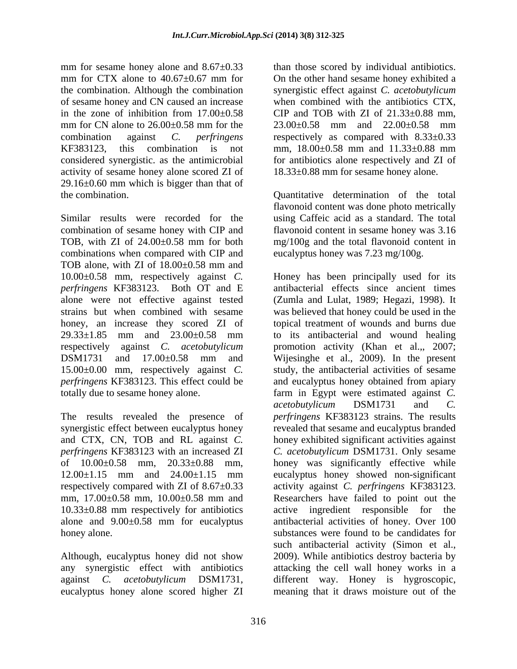mm for sesame honey alone and 8.67 $\pm$ 0.33 than those scored by individual antibiotics. mm for CTX alone to  $40.67 \pm 0.67$  mm for On the other hand sesame honey exhibited a the combination. Although the combination synergistic effect against *C. acetobutylicum* of sesame honey and CN caused an increase in the zone of inhibition from  $17.00\pm0.58$  CIP and TOB with ZI of  $21.33\pm0.88$  mm, mm for CN alone to  $26.00 \pm 0.58$  mm for the  $23.00 \pm 0.58$  mm and  $22.00 \pm 0.58$  mm combination against *C. perfringens* respectively as compared with 8.33±0.33 KF383123, this combination is not mm,  $18.00 \pm 0.58$  mm and  $11.33 \pm 0.88$  mm considered synergistic. as the antimicrobial activity of sesame honey alone scored ZI of 29.16±0.60 mm which is bigger than that of

Similar results were recorded for the using Caffeic acid as a standard. The total combination of sesame honey with CIP and flavonoid content in sesame honey was 3.16 TOB, with ZI of 24.00±0.58 mm for both mg/100g and the total flavonoid content in combinations when compared with CIP and TOB alone, with ZI of 18.00±0.58 mm and *perfringens* KF383123. Both OT and E honey, an increase they scored ZI of

10.33±0.88 mm respectively for antibiotics alone and 9.00±0.58 mm for eucalyptus

when combined with the antibiotics CTX, CIP and TOB with ZI of  $21.33\pm0.88$  mm, 23.00±0.58 mm and 22.00±0.58 mm for antibiotics alone respectively and ZI of 18.33±0.88 mm for sesame honey alone.

the combination. Quantitative determination of the total flavonoid content was done photo metrically eucalyptus honey was 7.23 mg/100g.

10.00±0.58 mm, respectively against *C.*  Honey has been principally used for its alone were not effective against tested (Zumla and Lulat, 1989; Hegazi, 1998). It strains but when combined with sesame was believed that honey could be used in the 29.33±1.85 mm and 23.00±0.58 mm to its antibacterial and wound healing respectively against *C. acetobutylicum* promotion activity (Khan et al.,, 2007; DSM1731 and 17.00±0.58 mm and Wijesinghe et al., 2009). In the present 15.00 $\pm$ 0.00 mm, respectively against *C*. study, the antibacterial activities of sesame *perfringens* KF383123. This effect could be and eucalyptus honey obtained from apiary totally due to sesame honey alone. farm in Egypt were estimated against *C.*  The results revealed the presence of *perfringens* KF383123 strains. The results synergistic effect between eucalyptus honey revealed that sesame and eucalyptus branded and CTX, CN, TOB and RL against *C.*  honey exhibited significant activities against *perfringens* KF383123 with an increased ZI *C. acetobutylicum* DSM1731. Only sesame of 10.00±0.58 mm, 20.33±0.88 mm, honey was significantly effective while 12.00±1.15 mm and 24.00±1.15 mm respectively compared with ZI of 8.67±0.33 activity against *C. perfringens* KF383123. mm, 17.00±0.58 mm, 10.00±0.58 mm and Researchers have failed to point out the honey alone. The substances were found to be candidates for substances were found to be candidates for Although, eucalyptus honey did not show 2009). While antibiotics destroy bacteria by any synergistic effect with antibiotics attacking the cell wall honey works in a against *C. acetobutylicum* DSM1731, different way. Honey is hygroscopic, eucalyptus honey alone scored higher ZI meaning that it draws moisture out of theantibacterial effects since ancient times topical treatment of wounds and burns due *acetobutylicum* DSM1731 and *C.*  eucalyptus honey showed non-significant active ingredient responsible for antibacterial activities of honey. Over 100 such antibacterial activity (Simon et al.,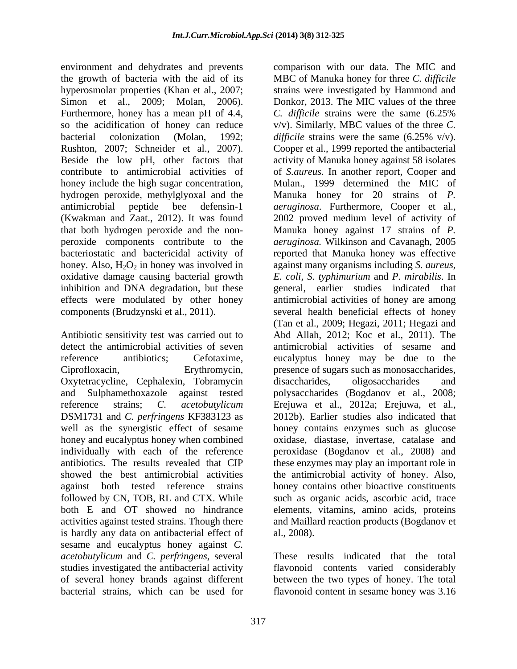environment and dehydrates and prevents comparison with our data. The MIC and hyperosmolar properties (Khan et al., 2007; Furthermore, honey has a mean pH of 4.4, C. difficile strains were the same  $(6.25\%$ bacterial colonization (Molan, 1992; *difficile* strains were the same  $(6.25\% \text{ v/v})$ . Beside the low pH, other factors that honey include the high sugar concentration, oxidative damage causing bacterial growth inhibition and DNA degradation, but these

Oxytetracycline, Cephalexin, Tobramycin is hardly any data on antibacterial effect of al., 2008). sesame and eucalyptus honey against *C. acetobutylicum* and *C. perfringens*, several studies investigated the antibacterial activity flavonoid contents varied considerably of several honey brands against different between the two types of honey. The total bacterial strains, which can be used for flavonoid content in sesame honey was 3.16

the growth of bacteria with the aid of its MBC of Manuka honey for three *C. difficile* Simon et al., 2009; Molan, 2006). Donkor, 2013. The MIC values of the three so the acidification of honey can reduce v/v). Similarly, MBC values of the three *C.*  Rushton, 2007; Schneider et al., 2007). Cooper et al., 1999 reported the antibacterial contribute to antimicrobial activities of of *S.aureus*. In another report, Cooper and hydrogen peroxide, methylglyoxal and the Manuka honey for 20 strains of *P.*  antimicrobial peptide bee defensin-1 *aeruginosa*. Furthermore, Cooper et al., (Kwakman and Zaat., 2012). It was found 2002 proved medium level of activity of that both hydrogen peroxide and the non- Manuka honey against 17 strains of *P.*  peroxide components contribute to the *aeruginosa.* Wilkinson and Cavanagh, 2005 bacteriostatic and bactericidal activity of reported that Manuka honey was effective honey. Also, H<sub>2</sub>O<sub>2</sub> in honey was involved in against many organisms including *S. aureus*, effects were modulated by other honey antimicrobial activities of honey are among components (Brudzynski et al., 2011). several health beneficial effects of honey Antibiotic sensitivity test was carried out to Abd Allah, 2012; Koc et al., 2011). The detect the antimicrobial activities of seven antimicrobial activities of sesame and reference antibiotics; Cefotaxime, eucalyptus honey may be due to the Ciprofloxacin, Erythromycin, presence of sugars such as monosaccharides, and Sulphamethoxazole against tested polysaccharides (Bogdanov et al., 2008; reference strains; *C. acetobutylicum* Erejuwa et al., 2012a; Erejuwa, et al., DSM1731 and *C. perfringens* KF383123 as 2012b). Earlier studies also indicated that well as the synergistic effect of sesame honey contains enzymes such as glucose honey and eucalyptus honey when combined oxidase, diastase, invertase, catalase and individually with each of the reference peroxidase (Bogdanov et al., 2008) and antibiotics. The results revealed that CIP these enzymes may play an important role in showed the best antimicrobial activities the antimicrobial activity of honey. Also, against both tested reference strains honey contains other bioactive constituents followed by CN, TOB, RL and CTX. While such as organic acids, ascorbic acid, trace both E and OT showed no hindrance elements, vitamins, amino acids, proteins activities against tested strains. Though there and Maillard reaction products (Bogdanov et strains were investigated by Hammond and *C. dif icile* strains were the same (6.25% *difficile* strains were the same (6.25% v/v). activity of Manuka honey against 58 isolates Mulan., 1999 determined the MIC of *E. coli, S. typhimurium* and *P. mirabilis*. In general, earlier studies indicated that (Tan et al., 2009; Hegazi, 2011; Hegazi and disaccharides, oligosaccharides and al., 2008).

These results indicated that the total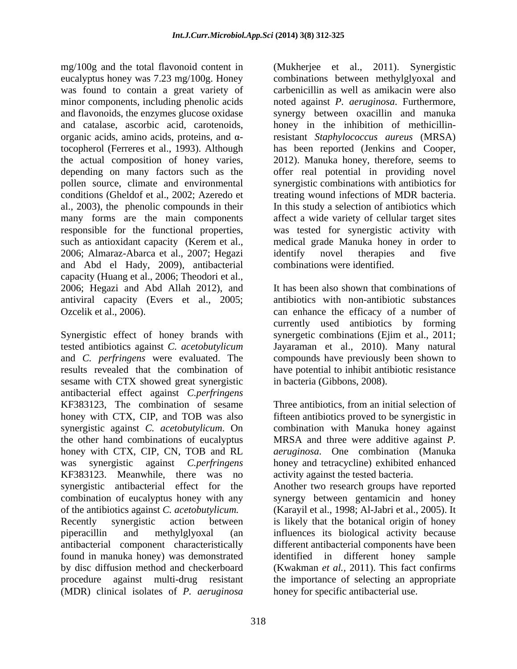eucalyptus honey was 7.23 mg/100g. Honey was found to contain a great variety of 2006; Almaraz-Abarca et al., 2007; Hegazi and Abd el Hady, 2009), antibacterial capacity (Huang et al., 2006; Theodori et al., 2006; Hegazi and Abd Allah 2012), and antiviral capacity (Evers et al., 2005;

tested antibiotics against *C. acetobutylicum* and *C. perfringens* were evaluated. The compounds have previously been shown to results revealed that the combination of have potential to inhibit antibiotic resistance sesame with CTX showed great synergistic antibacterial effect against *C.perfringens* KF383123, The combination of sesame Three antibiotics, from an initial selection of honey with CTX, CIP, and TOB was also fifteen antibiotics proved to be synergistic in synergistic against *C. acetobutylicum*. On combination with Manuka honey against the other hand combinations of eucalyptus honey with CTX, CIP, CN, TOB and RL was synergistic against *C.perfringens* honey and tetracycline) exhibited enhanced KF383123. Meanwhile, there was no synergistic antibacterial effect for the Another two research groups have reported combination of eucalyptus honey with any of the antibiotics against *C. acetobutylicum.* (Karayil et al., 1998; Al-Jabri et al., 2005). It Recently synergistic action between is likely that the botanical origin of honey piperacillin and methylglyoxal (an influences its biological activity because antibacterial component characteristically different antibacterial components have been found in manuka honey) was demonstrated by disc diffusion method and checkerboard (Kwakman *et al.,* 2011). This fact confirms procedure against multi-drug resistant the importance of selecting an appropriate (MDR) clinical isolates of *P. aeruginosa*

mg/100g and the total flavonoid content in (Mukherjee et al., 2011). Synergistic minor components, including phenolic acids noted against *P. aeruginosa*. Furthermore, and flavonoids, the enzymes glucose oxidase synergy between oxacillin and manuka and catalase, ascorbic acid, carotenoids, honey in the inhibition of methicillinorganic acids, amino acids, proteins, and α-<br>resistant *Staphylococcus aureus* (MRSA) tocopherol (Ferreres et al., 1993). Although has been reported (Jenkins and Cooper, the actual composition of honey varies, 2012). Manuka honey, therefore, seems to depending on many factors such as the offer real potential in providing novel pollen source, climate and environmental synergistic combinations with antibiotics for conditions (Gheldof et al., 2002; Azeredo et treating wound infections of MDR bacteria. al., 2003), the phenolic compounds in their In this study a selection of antibiotics which many forms are the main components affect a wide variety of cellular target sites responsible for the functional properties, was tested for synergistic activity with such as antioxidant capacity (Kerem et al., medical grade Manuka honey in order to combinations between methylglyoxal and carbenicillin as well as amikacin were also identify novel therapies and five combinations were identified.

Ozcelik et al., 2006). can enhance the efficacy of a number of Synergistic effect of honey brands with synergetic combinations (Ejim et al., 2011; It has been also shown that combinations of antibiotics with non-antibiotic substances currently used antibiotics by forming Jayaraman et al., 2010). Many natural in bacteria (Gibbons, 2008).

> MRSA and three were additive against *P. aeruginosa*. One combination (Manuka activity against the tested bacteria.

> synergy between gentamicin and honey identified in different honey sample honey for specific antibacterial use.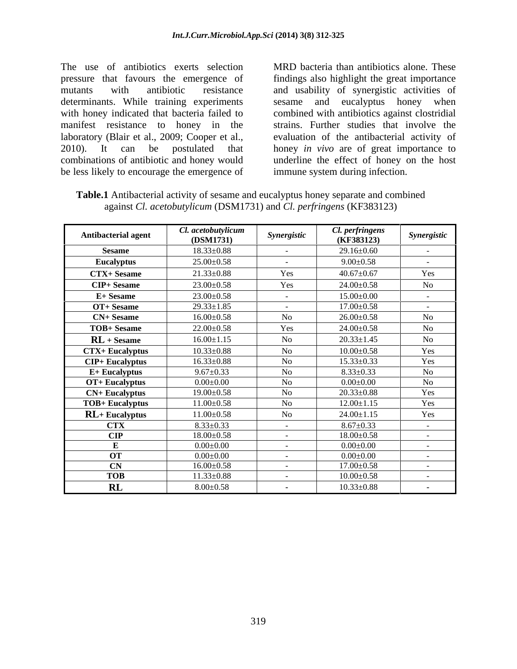The use of antibiotics exerts selection pressure that favours the emergence of findings also highlight the great importance mutants with antibiotic resistance and usability of synergistic activities of determinants. While training experiments sesame and eucalyptus honey when with honey indicated that bacteria failed to combined with antibiotics against clostridial manifest resistance to honey in the laboratory (Blair et al., 2009; Cooper et al., 2010). It can be postulated that honey *in vivo* are of great importance to combinations of antibiotic and honey would underline the effect of honey on the host be less likely to encourage the emergence of

MRD bacteria than antibiotics alone. These strains. Further studies that involve the evaluation of the antibacterial activity of immune system during infection.

| Table.1<br>1 Antibacterial activity of sesame and eucalyptus honey separate and combined |  |
|------------------------------------------------------------------------------------------|--|
| against <i>Cl. acetobutylicum</i> (DSM1731) and <i>Cl. perfringens</i> (KF383123)        |  |

| <b>Antibacterial agent</b> | Cl. acetobutylicum<br>(DSM1731) | Synergistic                    | Cl. perfringens<br>(KF383123) | Synergistic                     |
|----------------------------|---------------------------------|--------------------------------|-------------------------------|---------------------------------|
| Sesame                     | $18.33 \pm 0.88$                | <b>Contract Contract</b>       | 29.16±0.60                    | $\sim$ $-$                      |
| <b>Eucalyptus</b>          | $25.00 \pm 0.58$                | <b>Service</b>                 | $9.00 \pm 0.58$               | <b>Contract Contract Street</b> |
| <b>CTX+ Sesame</b>         | $21.33 \pm 0.88$                | Yes                            | $40.67 \pm 0.67$              | Yes                             |
| <b>CIP+</b> Sesame         | $23.00 \pm 0.58$                | Yes                            | $24.00 \pm 0.58$              | No                              |
| E+ Sesame                  | $23.00 \pm 0.58$                | <b>Contract Contract</b>       | $15.00 \pm 0.00$              | $\sim$ $-$                      |
| OT+ Sesame                 | $29.33 \pm 1.85$                | <b>Contract Contract State</b> | $17.00 \pm 0.58$              | $\sim$ $-$                      |
| <b>CN+ Sesame</b>          | $16.00 \pm 0.58$                | N <sub>o</sub>                 | $26.00 \pm 0.58$              | N <sub>o</sub>                  |
| TOB+ Sesame                | $22.00 \pm 0.58$                | Yes                            | $24.00 \pm 0.58$              | No.                             |
| $RL + Sesame$              | $16.00 \pm 1.15$                | N <sub>0</sub>                 | $20.33 \pm 1.45$              | No                              |
| <b>CTX+ Eucalyptus</b>     | $10.33 \pm 0.88$                | No.                            | $10.00 \pm 0.58$              | Yes                             |
| $CIP+$ Eucalyptus          | $16.33 \pm 0.88$                | No                             | $15.33 \pm 0.33$              | Yes                             |
| E+ Eucalyptus              | $9.67 \pm 0.33$                 | No                             | $8.33 \pm 0.33$               | No.                             |
| OT+ Eucalyptus             | $0.00\pm0.00$                   | No.                            | $0.00\pm0.00$                 | No                              |
| <b>CN+ Eucalyptus</b>      | $19.00 \pm 0.58$                | No.                            | $20.33 \pm 0.88$              | Yes                             |
| <b>TOB+ Eucalyptus</b>     | $11.00 \pm 0.58$                | No.                            | $12.00 \pm 1.15$              | Yes                             |
| $RL + Eucalyptus$          | $11.00 \pm 0.58$                | N <sub>o</sub>                 | $24.00 \pm 1.15$              | Yes                             |
| <b>CTX</b>                 | $8.33 \pm 0.33$                 | $\sim$ $ -$                    | $8.67 \pm 0.33$               | <b>Contract Contract</b>        |
| $\mathbf{CIP}$             | $18.00 \pm 0.58$                | $\sim$ $-$                     | $18.00 \pm 0.58$              | $\sim$ $-$                      |
| $\mathbf{E}$               | $0.00{\pm}0.00$                 | $\sim$ $-$                     | $0.00\pm0.00$                 | $\sim$ $-$                      |
| <b>OT</b>                  | $0.00{\pm}0.00$                 | $\sim$ 100 $\sim$ 100 $\sim$   | $0.00\pm0.00$                 | <b>Contract Contract</b>        |
| <b>CN</b>                  | $16.00 \pm 0.58$                | <b>Contract Contract</b>       | $17.00 \pm 0.58$              | $\sim$ $-$                      |
| <b>TOB</b>                 | $11.33 \pm 0.88$                | <b>Contract Contract</b>       | $10.00 \pm 0.58$              | <b>Contract Contract State</b>  |
| RL                         | $8.00\pm0.58$                   |                                | $10.33 \pm 0.88$              |                                 |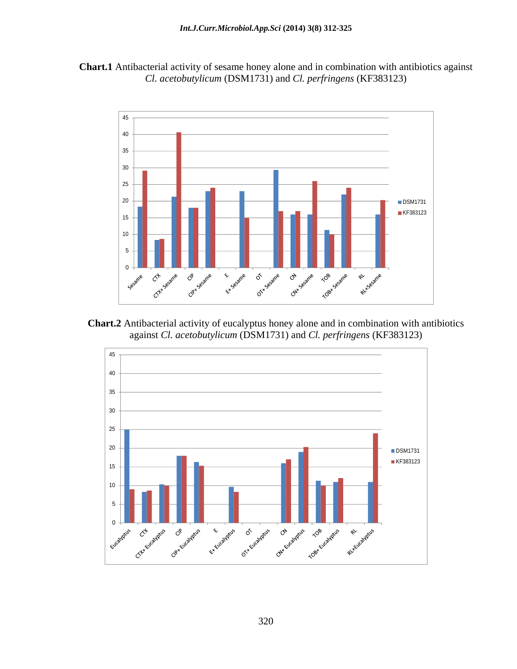



**Chart.2** Antibacterial activity of eucalyptus honey alone and in combination with antibiotics against *Cl. acetobutylicum* (DSM1731) and *Cl. perfringens* (KF383123)

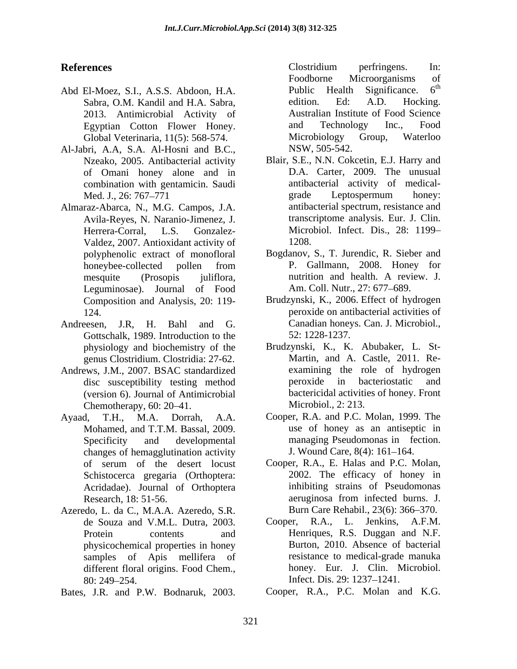- 2013. Antimicrobial Activity of Egyptian Cotton Flower Honey. and Technology Inc., Food
- Al-Jabri, A.A, S.A. Al-Hosni and B.C., Nzeako, 2005. Antibacterial activity of Omani honey alone and in combination with gentamicin. Saudi
- Almaraz-Abarca, N., M.G. Campos, J.A. Avila-Reyes, N. Naranio-Jimenez, J. Valdez, 2007. Antioxidant activity of 1208. polyphenolic extract of monofloral Leguminosae). Journal of Food Am. Coll. Nutr., 27: 677–689. Bates, J.R. and P.W. Bodnaruk, 2003. Clostridium perfringens. In:
- Andreesen, J.R, H. Bahl and G. Canadian honeys. Can. J. Microbiol., Gottschalk, 1989. Introduction to the 52: 1228-1237. physiology and biochemistry of the genus Clostridium. Clostridia: 27-62.
- Andrews, J.M., 2007. BSAC standardized<br>disc susceptibility testing method between the peroxide in bacteriostatic and disc susceptibility testing method (version 6). Journal of Antimicrobial
- Ayaad, T.H., M.A. Dorrah, A.A. Cooper, R.A. and P.C. Molan, 1999. The Mohamed, and T.T.M. Bassal, 2009. changes of hemagglutination activity Schistocerca gregaria (Orthoptera: Acridadae). Journal of Orthoptera
- Azeredo, L. da C., M.A.A. Azeredo, S.R. de Souza and V.M.L. Dutra, 2003. samples of Apis mellifera of different floral origins. Food Chem.,
- 

**References** In: Clostridium perfringens. In: Abd El-Moez, S.I., A.S.S. Abdoon, H.A. Sabra, O.M. Kandil and H.A. Sabra, edition. Ed: A.D. Hocking. Global Veterinaria, 11(5): 568-574. Microbiology Group, Waterloo Foodborne Microorganisms of Public Health Significance.  $6<sup>th</sup>$ the contract of the contract of the contract of the contract of the contract of the contract of the contract of the contract of the contract of the contract of the contract of the contract of the contract of the contract o edition. Ed: A.D. Hocking. Australian Institute of Food Science and Technology Inc., Food Microbiology Group, Waterloo NSW, 505-542.

- Med. J., 26: 767 771 Herrera-Corral, L.S. Gonzalez- Microbiol. Infect. Dis., 28: 1199 Blair, S.E., N.N. Cokcetin, E.J. Harry and D.A. Carter, 2009. The unusual antibacterial activity of medical grade Leptospermum honey: antibacterial spectrum, resistance and transcriptome analysis. Eur. J. Clin. 1208.
- honeybee-collected pollen from P. Gallmann, 2008. Honey for mesquite (Prosopis juliflora, nutrition and health. A review. J. Bogdanov, S., T. Jurendic, R. Sieber and P. Gallmann, 2008. Honey for nutrition and health. A review. J. Am. Coll. Nutr., 27: 677–689.
- Composition and Analysis, 20: 119- Brudzynski, K., 2006. Effect of hydrogen 124. peroxide on antibacterial activities of Canadian honeys. Can. J. Microbiol., 52: 1228-1237.
- Chemotherapy, 60: 20–41. Microbiol., 2: 213. Brudzynski, K., K. Abubaker, L. St- Martin, and A. Castle, 2011. Re examining the role of hydrogen peroxide in bacteriostatic and bactericidal activities of honey. Front Microbiol., 2: 213.
- Specificity and developmental managing Pseudomonas in fection. use of honey as an antiseptic in J. Wound Care, 8(4): 161-164.
- of serum of the desert locust Cooper, R.A., E. Halas and P.C. Molan, Research, 18: 51-56. **Exercise 2.1** aeruginosa from infected burns. J. Cooper, R.A., E. Halas and P.C. Molan, 2002. The efficacy of honey in inhibiting strains of Pseudomonas aeruginosa from infected burns. J. Burn Care Rehabil., 23(6): 366 370.
- Protein contents and Henriques, R.S. Duggan and N.F. physicochemical properties in honey Burton, 2010. Absence of bacterial 80: 249–254. Infect. Dis. 29: 1237–1241. R.A., L. Jenkins, A.F.M. resistance to medical-grade manuka honey. Eur. J. Clin. Microbiol. Infect. Dis. 29: 1237–1241.
	- Cooper, R.A., P.C. Molan and K.G.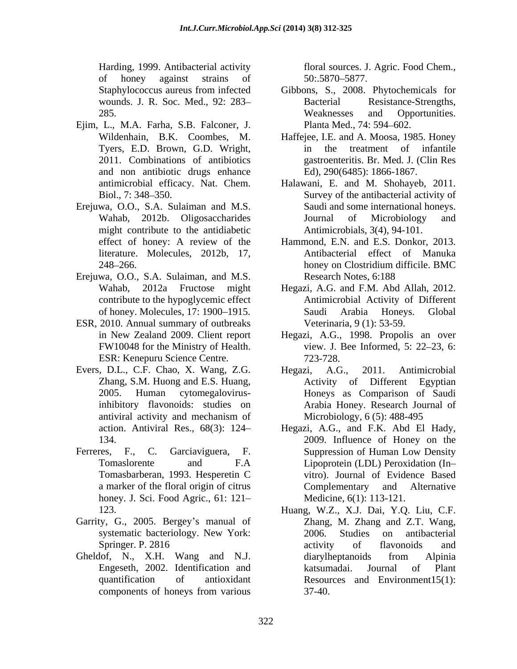Harding, 1999. Antibacterial activity floral sources. J. Agric. Food Chem., of honey against strains of 50:.5870–5877. wounds. J. R. Soc. Med., 92: 283

- Ejim, L., M.A. Farha, S.B. Falconer, J. and non antibiotic drugs enhance
- Erejuwa, O.O., S.A. Sulaiman and M.S. might contribute to the antidiabetic literature. Molecules, 2012b, 17,
- Erejuwa, O.O., S.A. Sulaiman, and M.S.
- ESR, 2010. Annual summary of outbreaks ESR: Kenepuru Science Centre.
- Evers, D.L., C.F. Chao, X. Wang, Z.G. Hegazi, A.G., 2011. Antimicrobial
- Ferreres, F., C. Garciaviguera, F. Suppression of Human Low Density honey. J. Sci. Food Agric., 61: 121
- Garrity, G., 2005. Bergey's manual of
- Gheldof, N., X.H. Wang and N.J. diarylheptanoids from Alpinia

50:.5870 5877.

- Staphylococcus aureus from infected Gibbons, S., 2008. Phytochemicals for 285. Weaknesses and Opportunities. Resistance-Strengths, Weaknesses and Opportunities. Planta Med., 74: 594-602.
- Wildenhain, B.K. Coombes, M. Haffejee, I.E. and A. Moosa, 1985. Honey Tyers, E.D. Brown, G.D. Wright, 2011. Combinations of antibiotics gastroenteritis. Br. Med. J. (Clin Res in the treatment of infantile Ed), 290(6485): 1866-1867.
- antimicrobial efficacy. Nat. Chem. Halawani, E. and M. Shohayeb, 2011. Biol., 7: 348–350. Survey of the antibacterial activity of Wahab, 2012b. Oligosaccharides **Solution** Journal of Microbiology and Saudi and some international honeys. Journal of Microbiology and Antimicrobials, 3(4), 94-101.
- effect of honey: A review of the Hammond, E.N. and E.S. Donkor, 2013. 248–266. honey on Clostridium difficile. BMC Antibacterial effect of Manuka honey on Clostridium difficile. BMC Research Notes, 6:188
- Wahab, 2012a Fructose might Hegazi, A.G. and F.M. Abd Allah, 2012. contribute to the hypoglycemic effect Antimicrobial Activity of Different of honey. Molecules, 17: 1900–1915. Saudi Arabia Honeys. Global Saudi Arabia Honeys. Global Veterinaria, 9 (1): 53-59.
- in New Zealand 2009. Client report Hegazi, A.G., 1998. Propolis an over FW10048 for the Ministry of Health. view. J. Bee Informed, 5: 22–23, 6: 723-728.
- Zhang, S.M. Huong and E.S. Huang,  $\qquad \qquad$  Activity of Different Egyptian 2005. Human cytomegalovirus-Honeys as Comparison of Saudi inhibitory flavonoids: studies on Arabia Honey. Research Journal of antiviral activity and mechanism of Microbiology, 6 (5): 488-495 Hegazi, A.G., 2011. Antimicrobial Microbiology, 6 (5): 488-495
- action. Antiviral Res., 68(3): 124 Hegazi, A.G., and F.K. Abd El Hady, 134. 2009. Influence of Honey on the Tomaslorente and F.A Lipoprotein (LDL) Peroxidation (In-Tomasbarberan, 1993. Hesperetin C vitro). Journal of Evidence Based a marker of the floral origin of citrus Suppression of Human Low Density Lipoprotein (LDL) Peroxidation (In Complementary and Alternative Medicine, 6(1): 113-121.
- 123. Huang, W.Z., X.J. Dai, Y.Q. Liu, C.F. systematic bacteriology. New York: 2006. Studies on antibacterial Springer. P. 2816 **Springer.** P. 2816 **Springer.** P. 2816 **Springer.** P. 2816 **Springer.** P. 2816 Engeseth, 2002. Identification and quantification of antioxidant Resources and Environment15(1): components of honeys from various Zhang, M. Zhang and Z.T. Wang, 2006. Studies on antibacterial activity of flavonoids and diarylheptanoids from Alpinia katsumadai. Journal of Plant 37-40.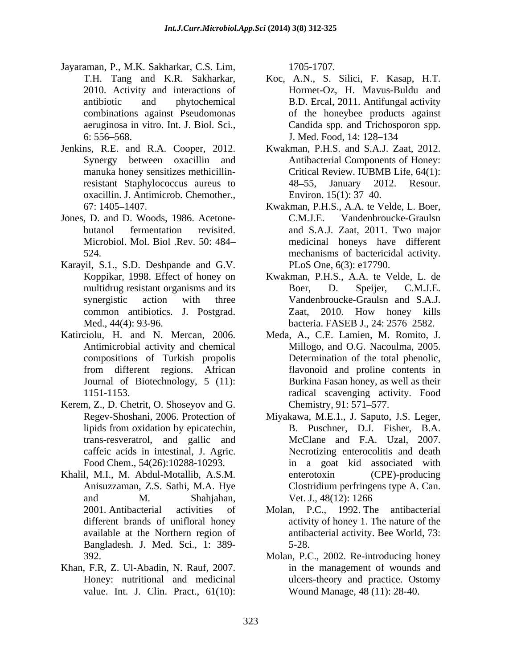- Jayaraman, P., M.K. Sakharkar, C.S. Lim, combinations against Pseudomonas
- Jenkins, R.E. and R.A. Cooper, 2012. manuka honey sensitizes methicillinoxacillin. J. Antimicrob. Chemother.,
- Jones, D. and D. Woods, 1986. Acetone-
- Karayil, S.1., S.D. Deshpande and G.V.
- Katirciolu, H. and N. Mercan, 2006. Meda, A., C.E. Lamien, M. Romito, J. Journal of Biotechnology, 5 (11):
- Kerem, Z., D. Chetrit, O. Shoseyov and G. Chemistry, 91: 571–577. lipids from oxidation by epicatechin, trans-resveratrol, and gallic and
- Khalil, M.I., M. Abdul-Motallib, A.S.M. Anisuzzaman, Z.S. Sathi, M.A. Hye Bangladesh. J. Med. Sci., 1: 389-
- Khan, F.R, Z. Ul-Abadin, N. Rauf, 2007. value. Int. J. Clin. Pract., 61(10):

1705-1707.

- T.H. Tang and K.R. Sakharkar, Koc, A.N., S. Silici, F. Kasap, H.T. 2010. Activity and interactions of Hormet-Oz, H. Mavus-Buldu and antibiotic and phytochemical B.D. Ercal, 2011. Antifungal activity aeruginosa in vitro. Int. J. Biol. Sci., Candida spp. and Trichosporon spp. 6: 556–568. J. Med. Food, 14: 128–134 of the honeybee products against J. Med. Food, 14: 128–134
- Synergy between oxacillin and Antibacterial Components of Honey: resistant Staphylococcus aureus to 48–55, January 2012. Resour. Kwakman, P.H.S. and S.A.J. Zaat, 2012. Critical Review. IUBMB Life, 64(1): 48 55, January 2012. Resour. Environ.  $15(1)$ : 37–40.
- 67: 1405 1407. Kwakman, P.H.S., A.A. te Velde, L. Boer, butanol fermentation revisited. and S.A.J. Zaat, 2011. Two major Microbiol. Mol. Biol .Rev. 50: 484 medicinal honeys have different 524. mechanisms of bactericidal activity. Vandenbroucke-Graulsn PLoS One, 6(3): e17790.
- Koppikar, 1998. Effect of honey on Kwakman, P.H.S., A.A. te Velde, L. de multidrug resistant organisms and its Boer, D. Speijer, C.M.J.E. synergistic action with three Vandenbroucke-Graulsn and S.A.J. common antibiotics. J. Postgrad. Med., 44(4): 93-96. bacteria. FASEB J., 24: 2576 2582. Boer, D. Speijer, C.M.J.E. Zaat, 2010. How honey kills
- Antimicrobial activity and chemical Millogo, and O.G. Nacoulma, 2005. compositions of Turkish propolis Determination of the total phenolic, from different regions. African 1151-1153. radical scavenging activity. Food flavonoid and proline contents in Burkina Fasan honey, as well as their Chemistry, 91: 571–577.
- Regev-Shoshani, 2006. Protection of Miyakawa, M.E.1., J. Saputo, J.S. Leger, caffeic acids in intestinal, J. Agric. Necrotizing enterocolitis and death Food Chem., 54(26):10288-10293. in a goat kid associated with and M. Shahjahan, Vet. J., 48(12): 1266 B. Puschner, D.J. Fisher, B.A. McClane and F.A. Uzal, 2007. enterotoxin (CPE)-producing Clostridium perfringens type A. Can. Vet. J., 48(12): 1266
- 2001. Antibacterial activities of Molan, P.C., 1992. The antibacterial different brands of unifloral honey activity of honey 1. The nature of the available at the Northern region of antibacterial activity. Bee World, 73: 5-28.
- 392. Molan, P.C., 2002. Re-introducing honey Honey: nutritional and medicinal ulcers-theory and practice. Ostomy in the management of wounds and Wound Manage, 48 (11): 28-40.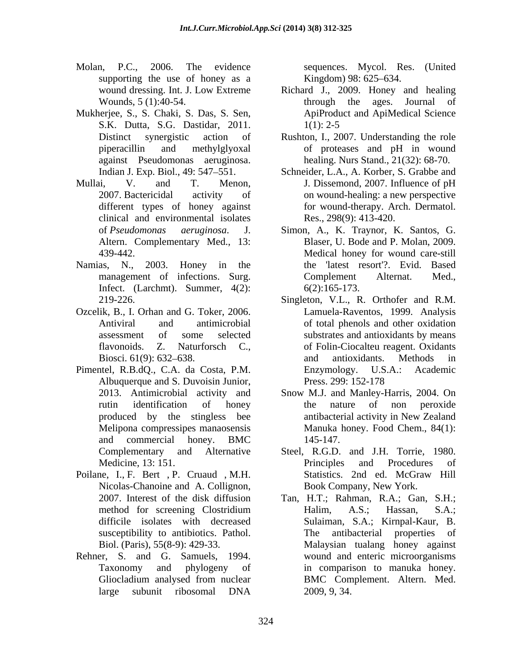- Molan, P.C., 2006. The evidence sequences. Mycol. Res. (United supporting the use of honey as a Kingdom 98: 625–634.
- Mukherjee, S., S. Chaki, S. Das, S. Sen, S.K. Dutta, S.G. Dastidar, 2011. against Pseudomonas aeruginosa.
- Mullai, V. and T. Menon, J. Dissemond, 2007. Influence of pH clinical and environmental isolates
- Namias, N., 2003. Honey in the Infect. (Larchmt). Summer, 4(2):
- Ozcelik, B., I. Orhan and G. Toker, 2006.
- Pimentel, R.B.dQ., C.A. da Costa, P.M. Enzymology. U.S.A.: Academic Albuquerque and S. Duvoisin Junior, Press. 299: 152-178
- Nicolas-Chanoine and A. Collignon,
- 

Kingdom) 98: 625–634.

- wound dressing. Int. J. Low Extreme Richard J., 2009. Honey and healing Wounds, 5 (1):40-54. The state of through the ages. Journal of through the ages. Journal of ApiProduct and ApiMedical Science  $1(1)$ : 2-5
- Distinct synergistic action of Rushton, I., 2007. Understanding the role piperacillin and methylglyoxal of proteases and pH in wound healing. Nurs Stand., 21(32): 68-70.
- Indian J. Exp. Biol., 49: 547 551. Schneider, L.A., A. Korber, S. Grabbe and 2007. Bactericidal activity of on wound-healing: a new perspective different types of honey against for wound-therapy. Arch. Dermatol. J. Dissemond, 2007. Influence of pH Res., 298(9): 413-420.
- of *Pseudomonas aeruginosa*. J. Simon, A., K. Traynor, K. Santos, G. Altern. Complementary Med., 13: Blaser, U. Bode and P. Molan, 2009. 439-442. Medical honey for wound care-still management of infections. Surg. Complement Alternat. Med., the 'latest resort'?. Evid. Based Complement Alternat. Med., 6(2):165-173.
- 219-226. Singleton, V.L., R. Orthofer and R.M. Antiviral and antimicrobial of total phenols and other oxidation assessment of some selected substrates and antioxidants by means flavonoids. Z. Naturforsch C., of Folin-Ciocalteu reagent. Oxidants Biosci. 61(9): 632–638. https://www.and.com/antioxidants. Methods in Lamuela-Raventos, 1999. Analysis and antioxidants. Methods in Enzymology. U.S.A.: Academic Press. 299: 152-178
- 2013. Antimicrobial activity and Snow M.J. and Manley-Harris, 2004. On rutin identification of honey produced by the stingless bee Melipona compressipes manaosensis Manuka honey. Food Chem., 84(1): and commercial honey. BMC the nature of non peroxide antibacterial activity in New Zealand 145-147.
- Complementary and Alternative Steel, R.G.D. and J.H. Torrie, 1980. Medicine, 13: 151. The example of the extended principles and Procedures of Poilane, I., F. Bert , P. Cruaud , M.H. Statistics. 2nd ed. McGraw Hill Principles and Procedures of Book Company, New York.
- 2007. Interest of the disk diffusion Tan, H.T.; Rahman, R.A.; Gan, S.H.; method for screening Clostridium Halim, A.S.; Hassan, S.A.; difficile isolates with decreased Sulaiman, S.A.; Kirnpal-Kaur, B. susceptibility to antibiotics. Pathol. The antibacterial properties of Biol. (Paris), 55(8-9): 429-33. Malaysian tualang honey against Rehner, S. and G. Samuels, 1994. wound and enteric microorganisms Taxonomy and phylogeny of in comparison to manuka honey. Gliocladium analysed from nuclear **BMC** Complement. Altern. Med. large subunit ribosomal DNA Halim, A.S.; Hassan, S.A.; The antibacterial properties BMC Complement. Altern. Med. 2009, 9, 34.